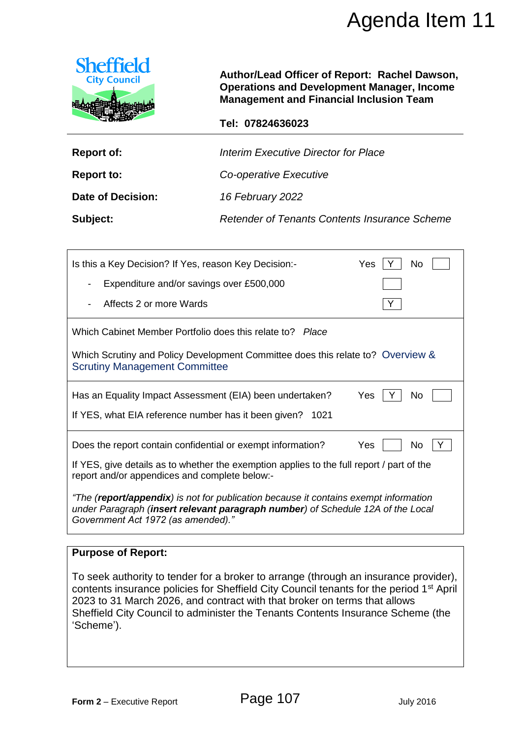

|  | Tel: 07824636023 |
|--|------------------|
|--|------------------|

| <b>Report of:</b> | Interim Executive Director for Place                 |  |
|-------------------|------------------------------------------------------|--|
| <b>Report to:</b> | Co-operative Executive                               |  |
| Date of Decision: | 16 February 2022                                     |  |
| Subject:          | <b>Retender of Tenants Contents Insurance Scheme</b> |  |

|                                                                                  |                                                                                                                                                                                                                                                                                                                                                             | Agenda Item 11                                |
|----------------------------------------------------------------------------------|-------------------------------------------------------------------------------------------------------------------------------------------------------------------------------------------------------------------------------------------------------------------------------------------------------------------------------------------------------------|-----------------------------------------------|
| <b>Sheffield</b><br><b>City Council</b>                                          | <b>Operations and Development Manager, Income</b><br><b>Management and Financial Inclusion Team</b>                                                                                                                                                                                                                                                         | Author/Lead Officer of Report: Rachel Dawson, |
|                                                                                  | Tel: 07824636023                                                                                                                                                                                                                                                                                                                                            |                                               |
| <b>Report of:</b>                                                                | <b>Interim Executive Director for Place</b>                                                                                                                                                                                                                                                                                                                 |                                               |
| <b>Report to:</b>                                                                | Co-operative Executive                                                                                                                                                                                                                                                                                                                                      |                                               |
| <b>Date of Decision:</b>                                                         | 16 February 2022                                                                                                                                                                                                                                                                                                                                            |                                               |
| Subject:                                                                         | <b>Retender of Tenants Contents Insurance Scheme</b>                                                                                                                                                                                                                                                                                                        |                                               |
| Is this a Key Decision? If Yes, reason Key Decision:-<br>Affects 2 or more Wards | Expenditure and/or savings over £500,000                                                                                                                                                                                                                                                                                                                    | Yes<br>No                                     |
|                                                                                  | Which Cabinet Member Portfolio does this relate to? Place                                                                                                                                                                                                                                                                                                   |                                               |
| <b>Scrutiny Management Committee</b>                                             | Which Scrutiny and Policy Development Committee does this relate to? Overview &                                                                                                                                                                                                                                                                             |                                               |
|                                                                                  | Has an Equality Impact Assessment (EIA) been undertaken?                                                                                                                                                                                                                                                                                                    | Yes<br>No.                                    |
|                                                                                  | If YES, what EIA reference number has it been given? 1021                                                                                                                                                                                                                                                                                                   |                                               |
|                                                                                  | Does the report contain confidential or exempt information?                                                                                                                                                                                                                                                                                                 | Y<br>Yes<br>No                                |
| report and/or appendices and complete below:-                                    | If YES, give details as to whether the exemption applies to the full report / part of the                                                                                                                                                                                                                                                                   |                                               |
| Government Act 1972 (as amended)."                                               | "The ( <b>report/appendix</b> ) is not for publication because it contains exempt information<br>under Paragraph (insert relevant paragraph number) of Schedule 12A of the Local                                                                                                                                                                            |                                               |
| <b>Purpose of Report:</b>                                                        |                                                                                                                                                                                                                                                                                                                                                             |                                               |
| 'Scheme').                                                                       | To seek authority to tender for a broker to arrange (through an insurance provider),<br>contents insurance policies for Sheffield City Council tenants for the period 1 <sup>st</sup> April<br>2023 to 31 March 2026, and contract with that broker on terms that allows<br>Sheffield City Council to administer the Tenants Contents Insurance Scheme (the |                                               |
|                                                                                  |                                                                                                                                                                                                                                                                                                                                                             |                                               |
| Form 2 - Executive Report                                                        | Page 107                                                                                                                                                                                                                                                                                                                                                    | <b>July 2016</b>                              |

# **Purpose of Report:**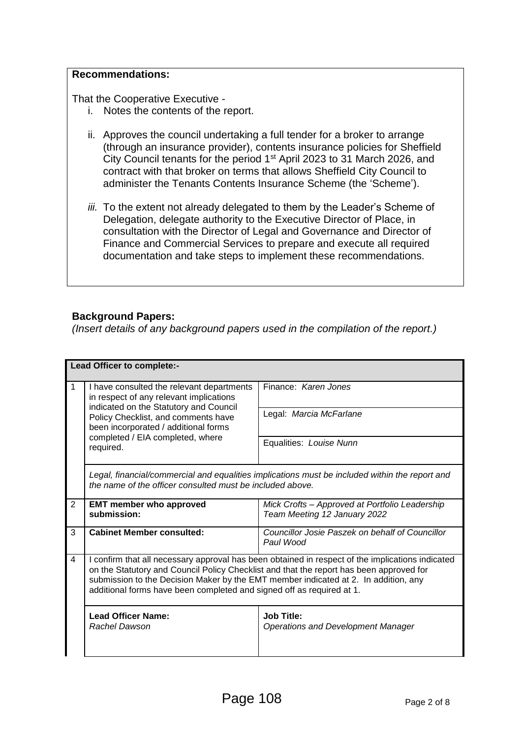#### **Recommendations:**

That the Cooperative Executive -

- i. Notes the contents of the report.
- ii. Approves the council undertaking a full tender for a broker to arrange (through an insurance provider), contents insurance policies for Sheffield City Council tenants for the period 1st April 2023 to 31 March 2026, and contract with that broker on terms that allows Sheffield City Council to administer the Tenants Contents Insurance Scheme (the 'Scheme').
- *iii.* To the extent not already delegated to them by the Leader's Scheme of Delegation, delegate authority to the Executive Director of Place, in consultation with the Director of Legal and Governance and Director of Finance and Commercial Services to prepare and execute all required documentation and take steps to implement these recommendations.

#### **Background Papers:**

*(Insert details of any background papers used in the compilation of the report.)*

|              | Lead Officer to complete:-                                                                                                                                                                                                                                                                                                                                  |                                                                                |  |  |  |
|--------------|-------------------------------------------------------------------------------------------------------------------------------------------------------------------------------------------------------------------------------------------------------------------------------------------------------------------------------------------------------------|--------------------------------------------------------------------------------|--|--|--|
| $\mathbf{1}$ | I have consulted the relevant departments<br>in respect of any relevant implications                                                                                                                                                                                                                                                                        | Finance: Karen Jones                                                           |  |  |  |
|              | indicated on the Statutory and Council<br>Policy Checklist, and comments have<br>been incorporated / additional forms                                                                                                                                                                                                                                       | Legal: Marcia McFarlane                                                        |  |  |  |
|              | completed / EIA completed, where<br>required.                                                                                                                                                                                                                                                                                                               | Equalities: Louise Nunn                                                        |  |  |  |
|              | Legal, financial/commercial and equalities implications must be included within the report and<br>the name of the officer consulted must be included above.                                                                                                                                                                                                 |                                                                                |  |  |  |
| 2            | <b>EMT member who approved</b><br>submission:                                                                                                                                                                                                                                                                                                               | Mick Crofts - Approved at Portfolio Leadership<br>Team Meeting 12 January 2022 |  |  |  |
| 3            | <b>Cabinet Member consulted:</b>                                                                                                                                                                                                                                                                                                                            | Councillor Josie Paszek on behalf of Councillor<br>Paul Wood                   |  |  |  |
| 4            | I confirm that all necessary approval has been obtained in respect of the implications indicated<br>on the Statutory and Council Policy Checklist and that the report has been approved for<br>submission to the Decision Maker by the EMT member indicated at 2. In addition, any<br>additional forms have been completed and signed off as required at 1. |                                                                                |  |  |  |
|              | <b>Lead Officer Name:</b><br>Rachel Dawson                                                                                                                                                                                                                                                                                                                  | <b>Job Title:</b><br><b>Operations and Development Manager</b>                 |  |  |  |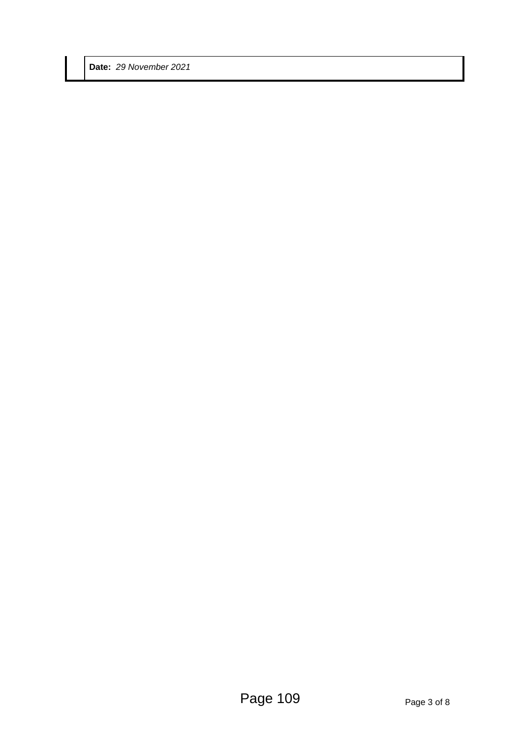**Date:** *29 November 2021*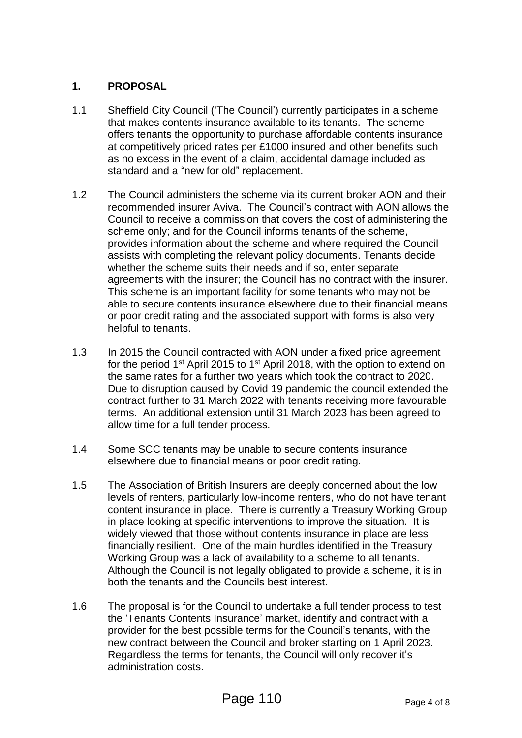# **1. PROPOSAL**

- 1.1 Sheffield City Council ('The Council') currently participates in a scheme that makes contents insurance available to its tenants. The scheme offers tenants the opportunity to purchase affordable contents insurance at competitively priced rates per £1000 insured and other benefits such as no excess in the event of a claim, accidental damage included as standard and a "new for old" replacement.
- 1.2 The Council administers the scheme via its current broker AON and their recommended insurer Aviva. The Council's contract with AON allows the Council to receive a commission that covers the cost of administering the scheme only; and for the Council informs tenants of the scheme, provides information about the scheme and where required the Council assists with completing the relevant policy documents. Tenants decide whether the scheme suits their needs and if so, enter separate agreements with the insurer; the Council has no contract with the insurer. This scheme is an important facility for some tenants who may not be able to secure contents insurance elsewhere due to their financial means or poor credit rating and the associated support with forms is also very helpful to tenants.
- 1.3 In 2015 the Council contracted with AON under a fixed price agreement for the period  $1<sup>st</sup>$  April 2015 to  $1<sup>st</sup>$  April 2018, with the option to extend on the same rates for a further two years which took the contract to 2020. Due to disruption caused by Covid 19 pandemic the council extended the contract further to 31 March 2022 with tenants receiving more favourable terms. An additional extension until 31 March 2023 has been agreed to allow time for a full tender process.
- 1.4 Some SCC tenants may be unable to secure contents insurance elsewhere due to financial means or poor credit rating.
- 1.5 The Association of British Insurers are deeply concerned about the low levels of renters, particularly low-income renters, who do not have tenant content insurance in place. There is currently a Treasury Working Group in place looking at specific interventions to improve the situation. It is widely viewed that those without contents insurance in place are less financially resilient. One of the main hurdles identified in the Treasury Working Group was a lack of availability to a scheme to all tenants. Although the Council is not legally obligated to provide a scheme, it is in both the tenants and the Councils best interest.
- 1.6 The proposal is for the Council to undertake a full tender process to test the 'Tenants Contents Insurance' market, identify and contract with a provider for the best possible terms for the Council's tenants, with the new contract between the Council and broker starting on 1 April 2023. Regardless the terms for tenants, the Council will only recover it's administration costs.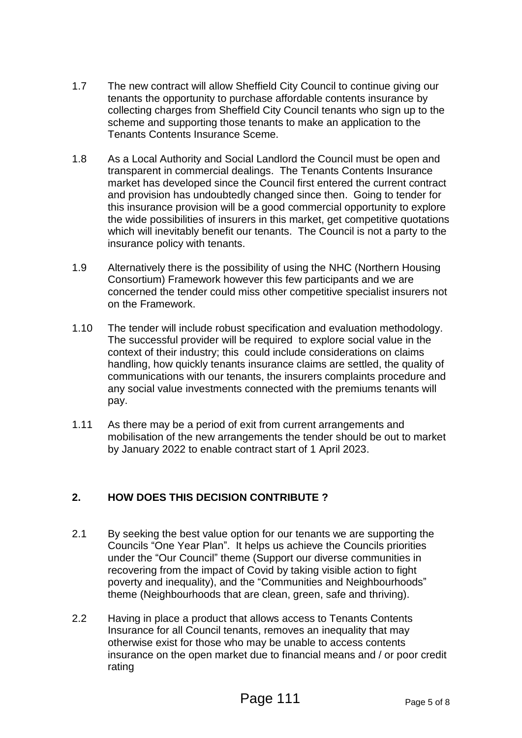- 1.7 The new contract will allow Sheffield City Council to continue giving our tenants the opportunity to purchase affordable contents insurance by collecting charges from Sheffield City Council tenants who sign up to the scheme and supporting those tenants to make an application to the Tenants Contents Insurance Sceme.
- 1.8 As a Local Authority and Social Landlord the Council must be open and transparent in commercial dealings. The Tenants Contents Insurance market has developed since the Council first entered the current contract and provision has undoubtedly changed since then. Going to tender for this insurance provision will be a good commercial opportunity to explore the wide possibilities of insurers in this market, get competitive quotations which will inevitably benefit our tenants. The Council is not a party to the insurance policy with tenants.
- 1.9 Alternatively there is the possibility of using the NHC (Northern Housing Consortium) Framework however this few participants and we are concerned the tender could miss other competitive specialist insurers not on the Framework.
- 1.10 The tender will include robust specification and evaluation methodology. The successful provider will be required to explore social value in the context of their industry; this could include considerations on claims handling, how quickly tenants insurance claims are settled, the quality of communications with our tenants, the insurers complaints procedure and any social value investments connected with the premiums tenants will pay.
- 1.11 As there may be a period of exit from current arrangements and mobilisation of the new arrangements the tender should be out to market by January 2022 to enable contract start of 1 April 2023.

# **2. HOW DOES THIS DECISION CONTRIBUTE ?**

- 2.1 By seeking the best value option for our tenants we are supporting the Councils "One Year Plan". It helps us achieve the Councils priorities under the "Our Council" theme (Support our diverse communities in recovering from the impact of Covid by taking visible action to fight poverty and inequality), and the "Communities and Neighbourhoods" theme (Neighbourhoods that are clean, green, safe and thriving).
- 2.2 Having in place a product that allows access to Tenants Contents Insurance for all Council tenants, removes an inequality that may otherwise exist for those who may be unable to access contents insurance on the open market due to financial means and / or poor credit rating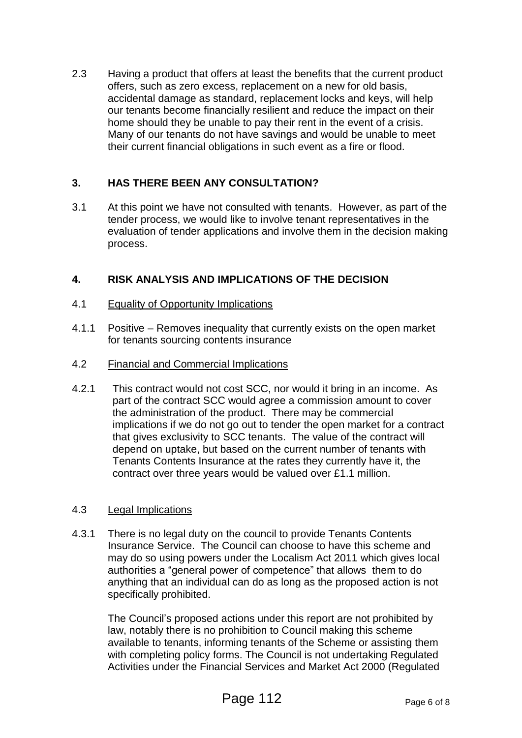2.3 Having a product that offers at least the benefits that the current product offers, such as zero excess, replacement on a new for old basis, accidental damage as standard, replacement locks and keys, will help our tenants become financially resilient and reduce the impact on their home should they be unable to pay their rent in the event of a crisis. Many of our tenants do not have savings and would be unable to meet their current financial obligations in such event as a fire or flood.

# **3. HAS THERE BEEN ANY CONSULTATION?**

3.1 At this point we have not consulted with tenants. However, as part of the tender process, we would like to involve tenant representatives in the evaluation of tender applications and involve them in the decision making process.

#### **4. RISK ANALYSIS AND IMPLICATIONS OF THE DECISION**

- 4.1 Equality of Opportunity Implications
- 4.1.1 Positive Removes inequality that currently exists on the open market for tenants sourcing contents insurance
- 4.2 Financial and Commercial Implications
- 4.2.1 This contract would not cost SCC, nor would it bring in an income. As part of the contract SCC would agree a commission amount to cover the administration of the product. There may be commercial implications if we do not go out to tender the open market for a contract that gives exclusivity to SCC tenants. The value of the contract will depend on uptake, but based on the current number of tenants with Tenants Contents Insurance at the rates they currently have it, the contract over three years would be valued over £1.1 million.

#### 4.3 Legal Implications

4.3.1 There is no legal duty on the council to provide Tenants Contents Insurance Service. The Council can choose to have this scheme and may do so using powers under the Localism Act 2011 which gives local authorities a "general power of competence" that allows them to do anything that an individual can do as long as the proposed action is not specifically prohibited.

The Council's proposed actions under this report are not prohibited by law, notably there is no prohibition to Council making this scheme available to tenants, informing tenants of the Scheme or assisting them with completing policy forms. The Council is not undertaking Regulated Activities under the Financial Services and Market Act 2000 (Regulated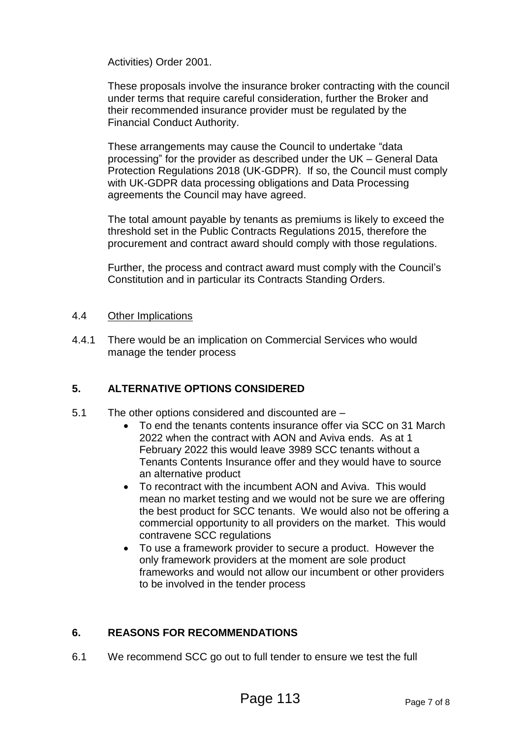Activities) Order 2001.

These proposals involve the insurance broker contracting with the council under terms that require careful consideration, further the Broker and their recommended insurance provider must be regulated by the Financial Conduct Authority.

These arrangements may cause the Council to undertake "data processing" for the provider as described under the UK – General Data Protection Regulations 2018 (UK-GDPR). If so, the Council must comply with UK-GDPR data processing obligations and Data Processing agreements the Council may have agreed.

The total amount payable by tenants as premiums is likely to exceed the threshold set in the Public Contracts Regulations 2015, therefore the procurement and contract award should comply with those regulations.

Further, the process and contract award must comply with the Council's Constitution and in particular its Contracts Standing Orders.

#### 4.4 Other Implications

4.4.1 There would be an implication on Commercial Services who would manage the tender process

# **5. ALTERNATIVE OPTIONS CONSIDERED**

- 5.1 The other options considered and discounted are
	- To end the tenants contents insurance offer via SCC on 31 March 2022 when the contract with AON and Aviva ends. As at 1 February 2022 this would leave 3989 SCC tenants without a Tenants Contents Insurance offer and they would have to source an alternative product
	- To recontract with the incumbent AON and Aviva. This would mean no market testing and we would not be sure we are offering the best product for SCC tenants. We would also not be offering a commercial opportunity to all providers on the market. This would contravene SCC regulations
	- To use a framework provider to secure a product. However the only framework providers at the moment are sole product frameworks and would not allow our incumbent or other providers to be involved in the tender process

# **6. REASONS FOR RECOMMENDATIONS**

6.1 We recommend SCC go out to full tender to ensure we test the full